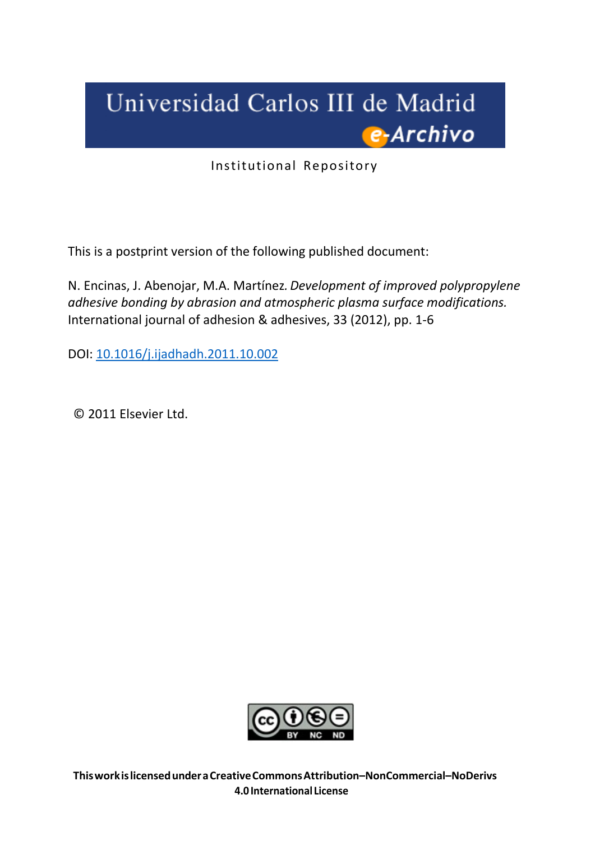# Universidad Carlos III de Madrid e-Archivo

Institutional Repository

This is a postprint version of the following published document:

N. Encinas, J. Abenojar, M.A. Martínez*. Development of improved polypropylene adhesive bonding by abrasion and atmospheric plasma surface modifications.* International journal of adhesion & adhesives, 33 (2012), pp. 1-6

DOI: [10.1016/j.ijadhadh.2011.10.002](http://dx.doi.org/10.1016/j.ijadhadh.2011.10.002)

© 2011 Elsevier Ltd.



**Thisworkislicensedunder a CreativeCommonsAttribution–NonCommercial–NoDerivs 4.0International License**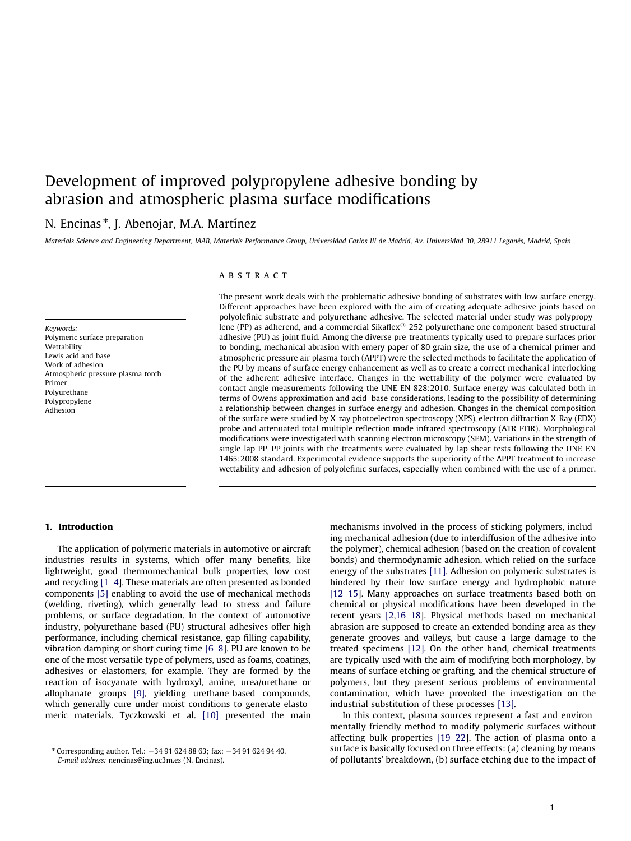# Development of improved polypropylene adhesive bonding by abrasion and atmospheric plasma surface modifications

# N. Encinas\*, J. Abenojar, M.A. Martínez

Materials Science and Engineering Department, IAAB, Materials Performance Group, Universidad Carlos III de Madrid, Av. Universidad 30, 28911 Leganés, Madrid, Spain

Keywords: Polymeric surface preparation **Wettability** Lewis acid and base Work of adhesion Atmospheric pressure plasma torch Primer Polyurethane Polypropylene Adhesion

# ABSTRACT

The present work deals with the problematic adhesive bonding of substrates with low surface energy. Different approaches have been explored with the aim of creating adequate adhesive joints based on polyolefinic substrate and polyurethane adhesive. The selected material under study was polypropy lene (PP) as adherend, and a commercial Sikaflex $\mathfrak{B}$  252 polyurethane one component based structural adhesive (PU) as joint fluid. Among the diverse pre treatments typically used to prepare surfaces prior to bonding, mechanical abrasion with emery paper of 80 grain size, the use of a chemical primer and atmospheric pressure air plasma torch (APPT) were the selected methods to facilitate the application of the PU by means of surface energy enhancement as well as to create a correct mechanical interlocking of the adherent adhesive interface. Changes in the wettability of the polymer were evaluated by contact angle measurements following the UNE EN 828:2010. Surface energy was calculated both in terms of Owens approximation and acid base considerations, leading to the possibility of determining a relationship between changes in surface energy and adhesion. Changes in the chemical composition of the surface were studied by X ray photoelectron spectroscopy (XPS), electron diffraction X Ray (EDX) probe and attenuated total multiple reflection mode infrared spectroscopy (ATR FTIR). Morphological modifications were investigated with scanning electron microscopy (SEM). Variations in the strength of single lap PP PP joints with the treatments were evaluated by lap shear tests following the UNE EN 1465:2008 standard. Experimental evidence supports the superiority of the APPT treatment to increase wettability and adhesion of polyolefinic surfaces, especially when combined with the use of a primer.

#### 1. Introduction

The application of polymeric materials in automotive or aircraft industries results in systems, which offer many benefits, like lightweight, good thermomechanical bulk properties, low cost and recycling [1 4]. These materials are often presented as bonded components [5] enabling to avoid the use of mechanical methods (welding, riveting), which generally lead to stress and failure problems, or surface degradation. In the context of automotive industry, polyurethane based (PU) structural adhesives offer high performance, including chemical resistance, gap filling capability, vibration damping or short curing time [6 8]. PU are known to be one of the most versatile type of polymers, used as foams, coatings, adhesives or elastomers, for example. They are formed by the reaction of isocyanate with hydroxyl, amine, urea/urethane or allophanate groups [9], yielding urethane based compounds, which generally cure under moist conditions to generate elasto meric materials. Tyczkowski et al. [10] presented the main mechanisms involved in the process of sticking polymers, includ ing mechanical adhesion (due to interdiffusion of the adhesive into the polymer), chemical adhesion (based on the creation of covalent bonds) and thermodynamic adhesion, which relied on the surface energy of the substrates [11]. Adhesion on polymeric substrates is hindered by their low surface energy and hydrophobic nature [12 15]. Many approaches on surface treatments based both on chemical or physical modifications have been developed in the recent years [2,16 18]. Physical methods based on mechanical abrasion are supposed to create an extended bonding area as they generate grooves and valleys, but cause a large damage to the treated specimens [12]. On the other hand, chemical treatments are typically used with the aim of modifying both morphology, by means of surface etching or grafting, and the chemical structure of polymers, but they present serious problems of environmental contamination, which have provoked the investigation on the industrial substitution of these processes [13].

In this context, plasma sources represent a fast and environ mentally friendly method to modify polymeric surfaces without affecting bulk properties [19 22]. The action of plasma onto a surface is basically focused on three effects: (a) cleaning by means of pollutants' breakdown, (b) surface etching due to the impact of

<sup>\*</sup> Corresponding author. Tel.:  $+34916248863$ ; fax:  $+34916249440$ . E-mail address: nencinas@ing.uc3m.es (N. Encinas).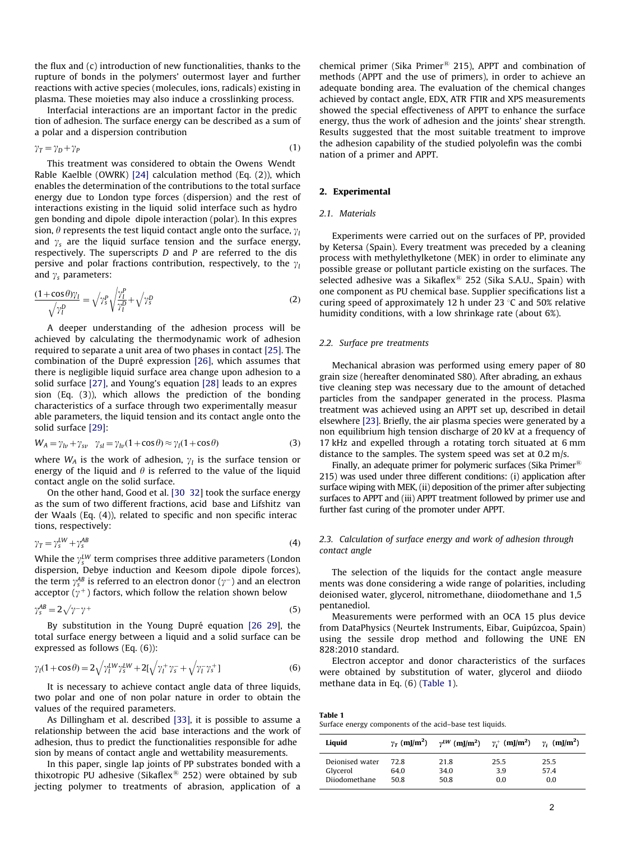the flux and (c) introduction of new functionalities, thanks to the rupture of bonds in the polymers' outermost layer and further reactions with active species (molecules, ions, radicals) existing in plasma. These moieties may also induce a crosslinking process.

Interfacial interactions are an important factor in the predic tion of adhesion. The surface energy can be described as a sum of a polar and a dispersion contribution

$$
\gamma_T = \gamma_D + \gamma_P \tag{1}
$$

This treatment was considered to obtain the Owens Wendt Rable Kaelble (OWRK) [24] calculation method (Eq. (2)), which enables the determination of the contributions to the total surface energy due to London type forces (dispersion) and the rest of interactions existing in the liquid solid interface such as hydro gen bonding and dipole dipole interaction (polar). In this expres sion,  $\theta$  represents the test liquid contact angle onto the surface,  $\gamma_l$ and  $\gamma_s$  are the liquid surface tension and the surface energy, respectively. The superscripts D and P are referred to the dis persive and polar fractions contribution, respectively, to the  $y_l$ and  $\gamma$ <sub>s</sub> parameters:

$$
\frac{(1+\cos\theta)\gamma_l}{\sqrt{\gamma_l^D}} = \sqrt{\gamma_s^P} \sqrt{\frac{\gamma_l^P}{\gamma_l^D}} + \sqrt{\gamma_s^D}
$$
 (2)

A deeper understanding of the adhesion process will be achieved by calculating the thermodynamic work of adhesion required to separate a unit area of two phases in contact [25]. The combination of the Dupré expression [26], which assumes that there is negligible liquid surface area change upon adhesion to a solid surface [27], and Young's equation [28] leads to an expres sion (Eq. (3)), which allows the prediction of the bonding characteristics of a surface through two experimentally measur able parameters, the liquid tension and its contact angle onto the solid surface [29]:

$$
W_A = \gamma_{lv} + \gamma_{sv} \quad \gamma_{sl} = \gamma_{lv} (1 + \cos \theta) \approx \gamma_l (1 + \cos \theta) \tag{3}
$$

where  $W_A$  is the work of adhesion,  $\gamma_l$  is the surface tension or energy of the liquid and  $\theta$  is referred to the value of the liquid contact angle on the solid surface.

On the other hand, Good et al. [30 32] took the surface energy as the sum of two different fractions, acid base and Lifshitz van der Waals (Eq. (4)), related to specific and non specific interac tions, respectively:

$$
\gamma_T = \gamma_s^{LW} + \gamma_s^{AB} \tag{4}
$$

While the  $\gamma_s^{LW}$  term comprises three additive parameters (London dispersion, Debye induction and Keesom dipole dipole forces), the term  $\gamma_{\rm s}^{\rm AB}$  is referred to an electron donor ( $\gamma^-$ ) and an electron acceptor  $(y^+)$  factors, which follow the relation shown below

$$
\gamma_s^{AB} = 2\sqrt{\gamma - \gamma +}
$$
 (5)

By substitution in the Young Dupré equation [26 29], the total surface energy between a liquid and a solid surface can be expressed as follows (Eq. (6)):

$$
\gamma_l(1+\cos\theta) = 2\sqrt{\gamma_l^{LW}\gamma_s^{LW}} + 2[\sqrt{\gamma_l^+\gamma_s^-} + \sqrt{\gamma_l^-\gamma_s^+}]
$$
(6)

It is necessary to achieve contact angle data of three liquids, two polar and one of non polar nature in order to obtain the values of the required parameters.

As Dillingham et al. described [33], it is possible to assume a relationship between the acid base interactions and the work of adhesion, thus to predict the functionalities responsible for adhe sion by means of contact angle and wettability measurements.

In this paper, single lap joints of PP substrates bonded with a thixotropic PU adhesive (Sikaflex $\mathbb{B}$  252) were obtained by sub jecting polymer to treatments of abrasion, application of a

chemical primer (Sika Primer® 215), APPT and combination of methods (APPT and the use of primers), in order to achieve an adequate bonding area. The evaluation of the chemical changes achieved by contact angle, EDX, ATR FTIR and XPS measurements showed the special effectiveness of APPT to enhance the surface energy, thus the work of adhesion and the joints' shear strength. Results suggested that the most suitable treatment to improve the adhesion capability of the studied polyolefin was the combi nation of a primer and APPT.

# 2. Experimental

# 2.1. Materials

Experiments were carried out on the surfaces of PP, provided by Ketersa (Spain). Every treatment was preceded by a cleaning process with methylethylketone (MEK) in order to eliminate any possible grease or pollutant particle existing on the surfaces. The selected adhesive was a Sikaflex $\mathbb B$  252 (Sika S.A.U., Spain) with one component as PU chemical base. Supplier specifications list a curing speed of approximately 12 h under 23  $\degree$ C and 50% relative humidity conditions, with a low shrinkage rate (about 6%).

#### 2.2. Surface pre treatments

Mechanical abrasion was performed using emery paper of 80 grain size (hereafter denominated S80). After abrading, an exhaus tive cleaning step was necessary due to the amount of detached particles from the sandpaper generated in the process. Plasma treatment was achieved using an APPT set up, described in detail elsewhere [23]. Briefly, the air plasma species were generated by a non equilibrium high tension discharge of 20 kV at a frequency of 17 kHz and expelled through a rotating torch situated at 6 mm distance to the samples. The system speed was set at 0.2 m/s.

Finally, an adequate primer for polymeric surfaces (Sika Primer<sup>®</sup>) 215) was used under three different conditions: (i) application after surface wiping with MEK, (ii) deposition of the primer after subjecting surfaces to APPT and (iii) APPT treatment followed by primer use and further fast curing of the promoter under APPT.

# 2.3. Calculation of surface energy and work of adhesion through contact angle

The selection of the liquids for the contact angle measure ments was done considering a wide range of polarities, including deionised water, glycerol, nitromethane, diiodomethane and 1,5 pentanediol.

Measurements were performed with an OCA 15 plus device from DataPhysics (Neurtek Instruments, Eibar, Guipúzcoa, Spain) using the sessile drop method and following the UNE EN 828:2010 standard.

Electron acceptor and donor characteristics of the surfaces were obtained by substitution of water, glycerol and diiodo methane data in Eq. (6) (Table 1).

Table 1 Surface energy components of the acid–base test liquids.

| Liquid          | $\gamma_T$ (mJ/m <sup>2</sup> ) | $\gamma^{LW}$ (mJ/m <sup>2</sup> ) $\gamma_i^+$ (mJ/m <sup>2</sup> ) $\gamma_i$ (mJ/m <sup>2</sup> ) |      |      |
|-----------------|---------------------------------|------------------------------------------------------------------------------------------------------|------|------|
| Deionised water | 72. R                           | 21.8                                                                                                 | 25.5 | 25.5 |
| Glycerol        | 64.0                            | 34.0                                                                                                 | 3.9  | 57.4 |
| Diiodomethane   | 50.8                            | 50.8                                                                                                 | 0.0  | 0.0  |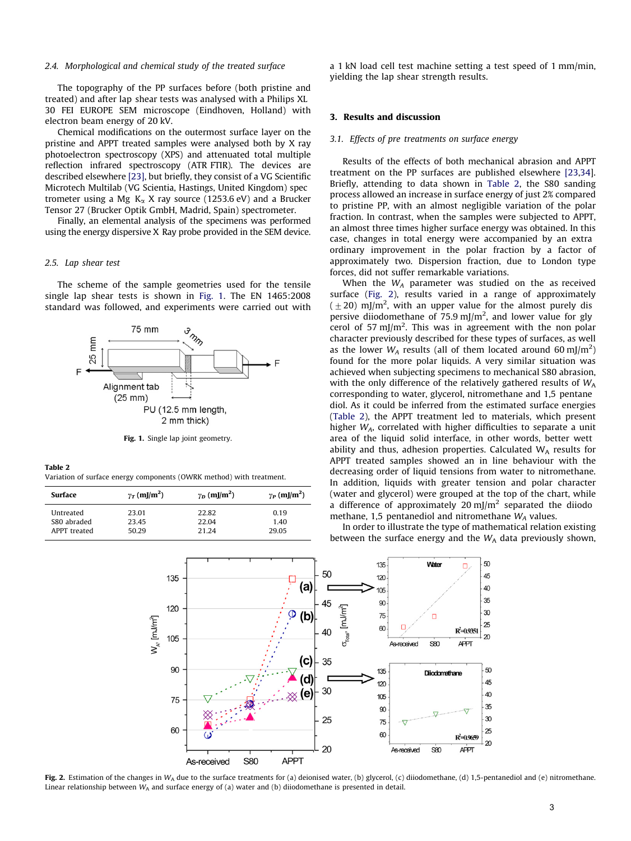#### 2.4. Morphological and chemical study of the treated surface

The topography of the PP surfaces before (both pristine and treated) and after lap shear tests was analysed with a Philips XL 30 FEI EUROPE SEM microscope (Eindhoven, Holland) with electron beam energy of 20 kV.

Chemical modifications on the outermost surface layer on the pristine and APPT treated samples were analysed both by X ray photoelectron spectroscopy (XPS) and attenuated total multiple reflection infrared spectroscopy (ATR FTIR). The devices are described elsewhere [23], but briefly, they consist of a VG Scientific Microtech Multilab (VG Scientia, Hastings, United Kingdom) spec trometer using a Mg  $K_{\alpha}$  X ray source (1253.6 eV) and a Brucker Tensor 27 (Brucker Optik GmbH, Madrid, Spain) spectrometer.

Finally, an elemental analysis of the specimens was performed using the energy dispersive X Ray probe provided in the SEM device.

#### 2.5. Lap shear test

The scheme of the sample geometries used for the tensile single lap shear tests is shown in Fig. 1. The EN 1465:2008 standard was followed, and experiments were carried out with



Fig. 1. Single lap joint geometry.

#### Table 2

Variation of surface energy components (OWRK method) with treatment.

| Surface                     | $\gamma_T$ (mJ/m <sup>2</sup> ) | $\gamma_D$ (mJ/m <sup>2</sup> ) | $\gamma_P$ (mJ/m <sup>2</sup> ) |  |  |
|-----------------------------|---------------------------------|---------------------------------|---------------------------------|--|--|
| Untreated                   | 23.01                           | 22.82                           | 0.19                            |  |  |
| S80 abraded<br>APPT treated | 23.45<br>50.29                  | 22.04<br>21.24                  | 1.40<br>29.05                   |  |  |

a 1 kN load cell test machine setting a test speed of 1 mm/min, yielding the lap shear strength results.

## 3. Results and discussion

#### 3.1. Effects of pre treatments on surface energy

Results of the effects of both mechanical abrasion and APPT treatment on the PP surfaces are published elsewhere [23,34]. Briefly, attending to data shown in Table 2, the S80 sanding process allowed an increase in surface energy of just 2% compared to pristine PP, with an almost negligible variation of the polar fraction. In contrast, when the samples were subjected to APPT, an almost three times higher surface energy was obtained. In this case, changes in total energy were accompanied by an extra ordinary improvement in the polar fraction by a factor of approximately two. Dispersion fraction, due to London type forces, did not suffer remarkable variations.

When the  $W_A$  parameter was studied on the as received surface (Fig. 2), results varied in a range of approximately  $(\pm 20)$  mJ/m<sup>2</sup>, with an upper value for the almost purely dis persive diiodomethane of 75.9 mJ/m<sup>2</sup>, and lower value for gly cerol of 57 mJ/m<sup>2</sup>. This was in agreement with the non polar character previously described for these types of surfaces, as well as the lower  $W_A$  results (all of them located around 60 mJ/m<sup>2</sup>) found for the more polar liquids. A very similar situation was achieved when subjecting specimens to mechanical S80 abrasion, with the only difference of the relatively gathered results of  $W_A$ corresponding to water, glycerol, nitromethane and 1,5 pentane diol. As it could be inferred from the estimated surface energies (Table 2), the APPT treatment led to materials, which present higher  $W_A$ , correlated with higher difficulties to separate a unit area of the liquid solid interface, in other words, better wett ability and thus, adhesion properties. Calculated  $W_A$  results for APPT treated samples showed an in line behaviour with the decreasing order of liquid tensions from water to nitromethane. In addition, liquids with greater tension and polar character (water and glycerol) were grouped at the top of the chart, while a difference of approximately 20 mJ/m<sup>2</sup> separated the diiodo methane, 1,5 pentanediol and nitromethane  $W_A$  values.

In order to illustrate the type of mathematical relation existing between the surface energy and the  $W_A$  data previously shown,



Fig. 2. Estimation of the changes in  $W_A$  due to the surface treatments for (a) deionised water, (b) glycerol, (c) diiodomethane, (d) 1,5-pentanediol and (e) nitromethane. Linear relationship between  $W_A$  and surface energy of (a) water and (b) diiodomethane is presented in detail.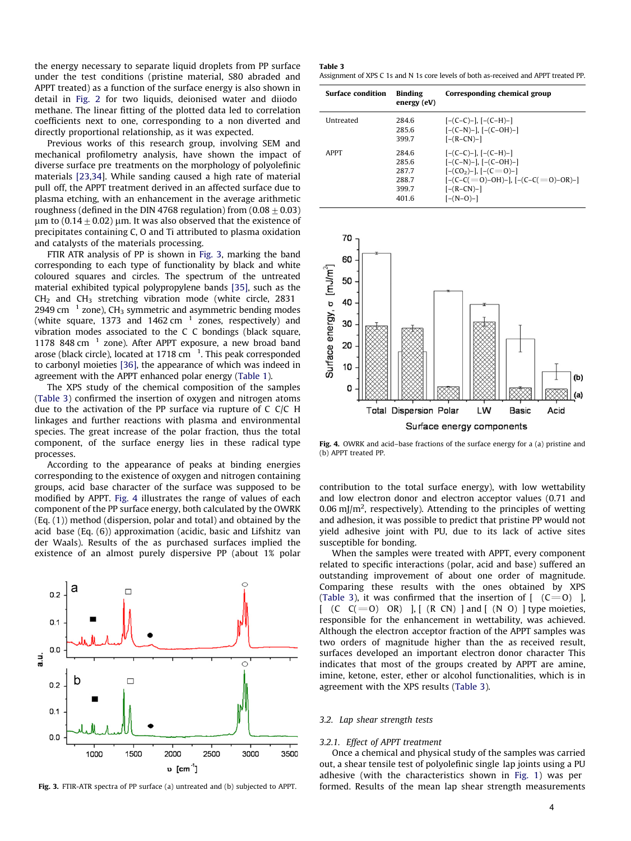the energy necessary to separate liquid droplets from PP surface under the test conditions (pristine material, S80 abraded and APPT treated) as a function of the surface energy is also shown in detail in Fig. 2 for two liquids, deionised water and diiodo methane. The linear fitting of the plotted data led to correlation coefficients next to one, corresponding to a non diverted and directly proportional relationship, as it was expected.

Previous works of this research group, involving SEM and mechanical profilometry analysis, have shown the impact of diverse surface pre treatments on the morphology of polyolefinic materials [23,34]. While sanding caused a high rate of material pull off, the APPT treatment derived in an affected surface due to plasma etching, with an enhancement in the average arithmetic roughness (defined in the DIN 4768 regulation) from  $(0.08\pm0.03)$  $\mu$ m to (0.14  $\pm$  0.02)  $\mu$ m. It was also observed that the existence of precipitates containing C, O and Ti attributed to plasma oxidation and catalysts of the materials processing.

FTIR ATR analysis of PP is shown in Fig. 3, marking the band corresponding to each type of functionality by black and white coloured squares and circles. The spectrum of the untreated material exhibited typical polypropylene bands [35], such as the  $CH<sub>2</sub>$  and  $CH<sub>3</sub>$  stretching vibration mode (white circle, 2831 2949 cm  $^{-1}$  zone), CH<sub>3</sub> symmetric and asymmetric bending modes (white square, 1373 and 1462 cm  $^{-1}$  zones, respectively) and vibration modes associated to the C C bondings (black square, 1178 848 cm $^{-1}$  zone). After APPT exposure, a new broad band arose (black circle), located at 1718 cm $^{-1}$ . This peak corresponded to carbonyl moieties [36], the appearance of which was indeed in agreement with the APPT enhanced polar energy (Table 1).

The XPS study of the chemical composition of the samples (Table 3) confirmed the insertion of oxygen and nitrogen atoms due to the activation of the PP surface via rupture of C C/C H linkages and further reactions with plasma and environmental species. The great increase of the polar fraction, thus the total component, of the surface energy lies in these radical type processes.

According to the appearance of peaks at binding energies corresponding to the existence of oxygen and nitrogen containing groups, acid base character of the surface was supposed to be modified by APPT. Fig. 4 illustrates the range of values of each component of the PP surface energy, both calculated by the OWRK (Eq. (1)) method (dispersion, polar and total) and obtained by the acid base (Eq. (6)) approximation (acidic, basic and Lifshitz van der Waals). Results of the as purchased surfaces implied the existence of an almost purely dispersive PP (about 1% polar



Table 3 Assignment of XPS C 1s and N 1s core levels of both as-received and APPT treated PP.

| <b>Surface condition</b> | <b>Binding</b><br>energy (eV)                     | Corresponding chemical group                                                                                                                          |
|--------------------------|---------------------------------------------------|-------------------------------------------------------------------------------------------------------------------------------------------------------|
| <b>Untreated</b>         | 284.6<br>285.6<br>3997                            | $[-(C-C)-], [-(C-H)-]$<br>$[-(C-N)-], [-(C-OH)-]$<br>$[-(R-CN)-]$                                                                                     |
| <b>APPT</b>              | 284.6<br>285.6<br>2877<br>288.7<br>399.7<br>401.6 | $[-(C-C)-], [-(C-H)-]$<br>$[-(C-N)-], [-(C-OH)-]$<br>$[-(CO2)$ -1, $[-(C=O)-]$<br>$[-(C-C(=0)-OH)-], [-(C-C(=0)-OR)-]$<br>$[-(R-CN)-]$<br>$[-(N-0)-]$ |



Fig. 4. OWRK and acid–base fractions of the surface energy for a (a) pristine and (b) APPT treated PP.

contribution to the total surface energy), with low wettability and low electron donor and electron acceptor values (0.71 and 0.06 mJ/ $m^2$ , respectively). Attending to the principles of wetting and adhesion, it was possible to predict that pristine PP would not yield adhesive joint with PU, due to its lack of active sites susceptible for bonding.

When the samples were treated with APPT, every component related to specific interactions (polar, acid and base) suffered an outstanding improvement of about one order of magnitude. Comparing these results with the ones obtained by XPS (Table 3), it was confirmed that the insertion of  $[$   $(C=0)$  ],  $[ (C C(=0) OR) ]$ ,  $[ (R CN) ]$  and  $[ (N 0) ]$  type moieties, responsible for the enhancement in wettability, was achieved. Although the electron acceptor fraction of the APPT samples was two orders of magnitude higher than the as received result, surfaces developed an important electron donor character This indicates that most of the groups created by APPT are amine, imine, ketone, ester, ether or alcohol functionalities, which is in agreement with the XPS results (Table 3).

#### 3.2. Lap shear strength tests

#### 3.2.1. Effect of APPT treatment

Once a chemical and physical study of the samples was carried out, a shear tensile test of polyolefinic single lap joints using a PU adhesive (with the characteristics shown in Fig. 1) was per Fig. 3. FTIR-ATR spectra of PP surface (a) untreated and (b) subjected to APPT. formed. Results of the mean lap shear strength measurements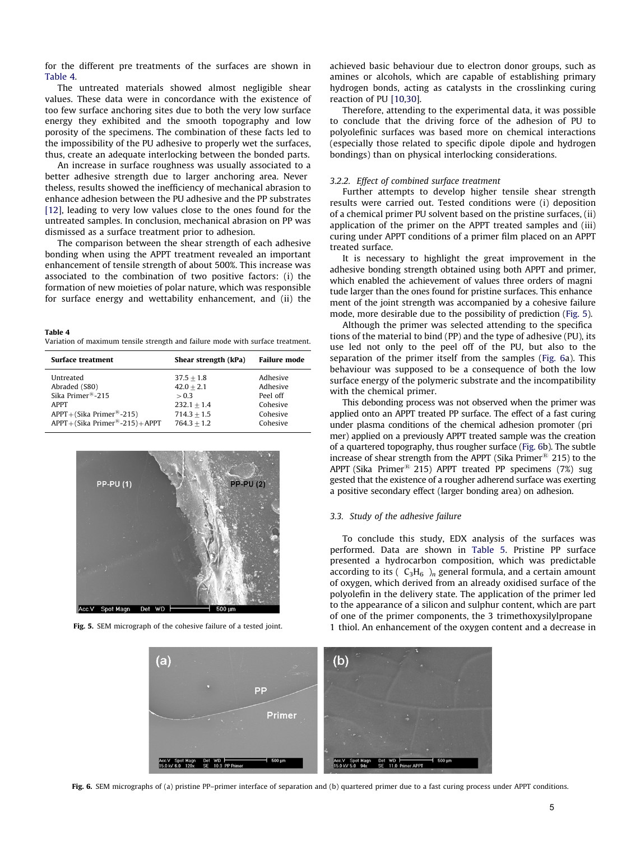for the different pre treatments of the surfaces are shown in Table 4.

The untreated materials showed almost negligible shear values. These data were in concordance with the existence of too few surface anchoring sites due to both the very low surface energy they exhibited and the smooth topography and low porosity of the specimens. The combination of these facts led to the impossibility of the PU adhesive to properly wet the surfaces, thus, create an adequate interlocking between the bonded parts.

An increase in surface roughness was usually associated to a better adhesive strength due to larger anchoring area. Never theless, results showed the inefficiency of mechanical abrasion to enhance adhesion between the PU adhesive and the PP substrates [12], leading to very low values close to the ones found for the untreated samples. In conclusion, mechanical abrasion on PP was dismissed as a surface treatment prior to adhesion.

The comparison between the shear strength of each adhesive bonding when using the APPT treatment revealed an important enhancement of tensile strength of about 500%. This increase was associated to the combination of two positive factors: (i) the formation of new moieties of polar nature, which was responsible for surface energy and wettability enhancement, and (ii) the

Table 4 Variation of maximum tensile strength and failure mode with surface treatment.

| Surface treatment                                                                                                         | Shear strength (kPa)                                                    | <b>Failure mode</b>                                      |
|---------------------------------------------------------------------------------------------------------------------------|-------------------------------------------------------------------------|----------------------------------------------------------|
| Untreated<br>Abraded (S80)<br>Sika Primer $^{\circledR}$ -215<br><b>APPT</b><br>$APPT + (Sika Primer^{\mathbb{R}} - 215)$ | $37.5 + 1.8$<br>$42.0 + 2.1$<br>> 0.3<br>$232.1 + 1.4$<br>$714.3 + 1.5$ | Adhesive<br>Adhesive<br>Peel off<br>Cohesive<br>Cohesive |
| $APPT + (Sika Primer^{B} - 215) + APPT$                                                                                   | $764.3 + 1.2$                                                           | Cohesive                                                 |



Fig. 5. SEM micrograph of the cohesive failure of a tested joint.

achieved basic behaviour due to electron donor groups, such as amines or alcohols, which are capable of establishing primary hydrogen bonds, acting as catalysts in the crosslinking curing reaction of PU [10,30].

Therefore, attending to the experimental data, it was possible to conclude that the driving force of the adhesion of PU to polyolefinic surfaces was based more on chemical interactions (especially those related to specific dipole dipole and hydrogen bondings) than on physical interlocking considerations.

#### 3.2.2. Effect of combined surface treatment

Further attempts to develop higher tensile shear strength results were carried out. Tested conditions were (i) deposition of a chemical primer PU solvent based on the pristine surfaces, (ii) application of the primer on the APPT treated samples and (iii) curing under APPT conditions of a primer film placed on an APPT treated surface.

It is necessary to highlight the great improvement in the adhesive bonding strength obtained using both APPT and primer, which enabled the achievement of values three orders of magni tude larger than the ones found for pristine surfaces. This enhance ment of the joint strength was accompanied by a cohesive failure mode, more desirable due to the possibility of prediction (Fig. 5).

Although the primer was selected attending to the specifica tions of the material to bind (PP) and the type of adhesive (PU), its use led not only to the peel off of the PU, but also to the separation of the primer itself from the samples (Fig. 6a). This behaviour was supposed to be a consequence of both the low surface energy of the polymeric substrate and the incompatibility with the chemical primer.

This debonding process was not observed when the primer was applied onto an APPT treated PP surface. The effect of a fast curing under plasma conditions of the chemical adhesion promoter (pri mer) applied on a previously APPT treated sample was the creation of a quartered topography, thus rougher surface (Fig. 6b). The subtle increase of shear strength from the APPT (Sika Primer® 215) to the APPT (Sika Primer® 215) APPT treated PP specimens (7%) sug gested that the existence of a rougher adherend surface was exerting a positive secondary effect (larger bonding area) on adhesion.

#### 3.3. Study of the adhesive failure

To conclude this study, EDX analysis of the surfaces was performed. Data are shown in Table 5. Pristine PP surface presented a hydrocarbon composition, which was predictable according to its  $(C_3H_6)$ <sub>n</sub> general formula, and a certain amount of oxygen, which derived from an already oxidised surface of the polyolefin in the delivery state. The application of the primer led to the appearance of a silicon and sulphur content, which are part of one of the primer components, the 3 trimethoxysilylpropane 1 thiol. An enhancement of the oxygen content and a decrease in



Fig. 6. SEM micrographs of (a) pristine PP-primer interface of separation and (b) quartered primer due to a fast curing process under APPT conditions.